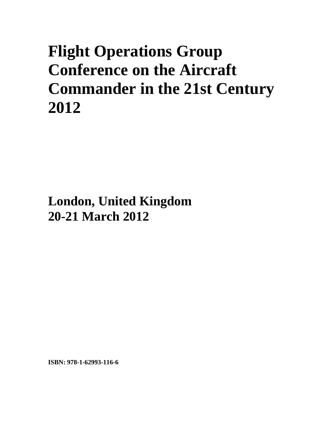# **Flight Operations Group Conference on the Aircraft Commander in the 21st Century 2012**

**London, United Kingdom 20-21 March 2012**

**ISBN: 978-1-62993-116-6**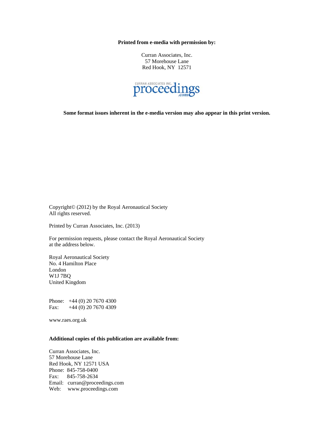**Printed from e-media with permission by:** 

Curran Associates, Inc. 57 Morehouse Lane Red Hook, NY 12571



**Some format issues inherent in the e-media version may also appear in this print version.** 

Copyright© (2012) by the Royal Aeronautical Society All rights reserved.

Printed by Curran Associates, Inc. (2013)

For permission requests, please contact the Royal Aeronautical Society at the address below.

Royal Aeronautical Society No. 4 Hamilton Place London W1J 7BQ United Kingdom

Phone: +44 (0) 20 7670 4300 Fax: +44 (0) 20 7670 4309

www.raes.org.uk

#### **Additional copies of this publication are available from:**

Curran Associates, Inc. 57 Morehouse Lane Red Hook, NY 12571 USA Phone: 845-758-0400 Fax: 845-758-2634 Email: curran@proceedings.com Web: www.proceedings.com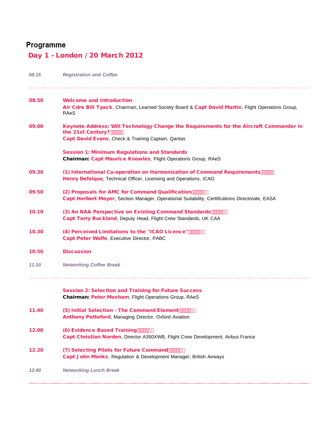# Programme

## Day 1 - London / 20 March 2012

| 08.15 | <b>Registration and Coffee</b>                                                                                                                                         |
|-------|------------------------------------------------------------------------------------------------------------------------------------------------------------------------|
| 08.50 | <b>Welcome and Introduction</b><br>Air Cdre Bill Tyack, Chairman, Learned Society Board & Capt David Martin, Flight Operations Group,<br>RAeS                          |
| 09.00 | Keynote Address: Will Technology Change the Requirements for the Aircraft Commander in<br>the 21st Century? """%<br>Capt David Evans, Check & Training Captain, Qantas |
|       | <b>Session 1: Minimum Regulations and Standards</b><br>Chairman: Capt Maurice Knowles, Flight Operations Group, RAeS                                                   |
| 09.30 | (1) International Co-operation on Harmonisation of Command Requirements """)<br>Henry Defalque, Technical Officer, Licensing and Operations, ICAO                      |
| 09.50 | (2) Proposals for AMC for Command Qualification THET WA<br>Capt Herbert Meyer, Section Manager, Operational Suitability, Certifications Directorate, EASA              |
| 10.10 | (3) An NAA Perspective on Existing Command Standards """"&"<br>Capt Terry Buckland, Deputy Head, Flight Crew Standards, UK CAA                                         |
| 10.30 | (4) Perceived Limitations to the "ICAO Licence" """"" \$<br>Capt Peter Wolfe, Executive Director, PABC                                                                 |
| 10.50 | <b>Discussion</b>                                                                                                                                                      |
| 11.10 | <b>Networking Coffee Break</b>                                                                                                                                         |
|       | <b>Session 2: Selection and Training for Future Success</b><br>Chairman: Peter Moxham, Flight Operations Group, RAeS                                                   |
| 11.40 | (5) Initial Selection - The Command Element """"('<br><b>Anthony Petteford, Managing Director, Oxford Aviation</b>                                                     |
| 12.00 | (6) Evidence Based Training THIP **<br>Capt Christian Norden, Director A350XWB, Flight Crew Development, Airbus France                                                 |
| 12.20 | (7) Selecting Pilots for Future Command """"++<br>Capt John Monks, Regulation & Development Manager, British Airways                                                   |
| 12.40 | <b>Networking Lunch Break</b>                                                                                                                                          |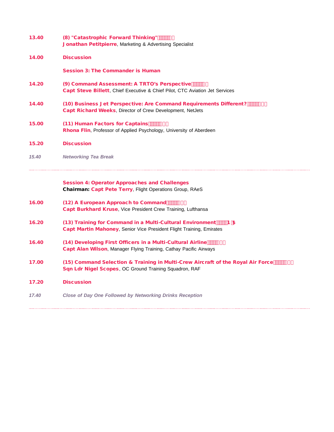| 13.40 | (8) "Catastrophic Forward Thinking" """", '<br><b>Jonathan Petitpierre, Marketing &amp; Advertising Specialist</b>                                 |
|-------|----------------------------------------------------------------------------------------------------------------------------------------------------|
| 14.00 | <b>Discussion</b>                                                                                                                                  |
|       | <b>Session 3: The Commander is Human</b>                                                                                                           |
| 14.20 | (9) Command Assessment: A TRTO's Perspective """" --<br>Capt Steve Billett, Chief Executive & Chief Pilot, CTC Aviation Jet Services               |
| 14.40 | (10) Business Jet Perspective: Are Command Requirements Different? """"%"<br>Capt Richard Weeks, Director of Crew Development, NetJets             |
| 15.00 | (11) Human Factors for Captains """%<br>Rhona Flin, Professor of Applied Psychology, University of Aberdeen                                        |
| 15.20 | <b>Discussion</b>                                                                                                                                  |
| 15.40 | <b>Networking Tea Break</b>                                                                                                                        |
|       | <b>Session 4: Operator Approaches and Challenges</b><br>Chairman: Capt Pete Terry, Flight Operations Group, RAeS                                   |
| 16.00 | (12) A European Approach to Command """"%-<br>Capt Burkhard Kruse, Vice President Crew Training, Lufthansa                                         |
| 16.20 | (13) Training for Command in a Multi-Cultural Environment """B 55<br>Capt Martin Mahoney, Senior Vice President Flight Training, Emirates          |
| 16.40 | (14) Developing First Officers in a Multi-Cultural Airline """% -<br>Capt Alan Wilson, Manager Flying Training, Cathay Pacific Airways             |
| 17.00 | (15) Command Selection & Training in Multi-Crew Aircraft of the Royal Air Force """" % -<br>Sqn Ldr Nigel Scopes, OC Ground Training Squadron, RAF |
| 17.20 | <b>Discussion</b>                                                                                                                                  |
| 17.40 | <b>Close of Day One Followed by Networking Drinks Reception</b>                                                                                    |
|       |                                                                                                                                                    |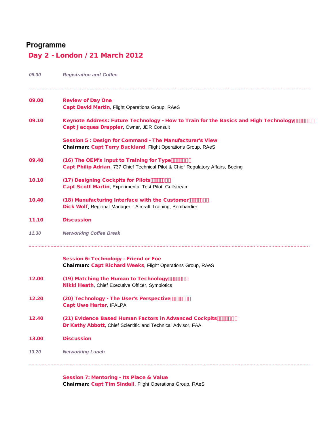### Programme

### Day 2 - London / 21 March 2012

| 08.30 | <b>Registration and Coffee</b>                                                                                                           |
|-------|------------------------------------------------------------------------------------------------------------------------------------------|
| 09.00 | <b>Review of Day One</b><br>Capt David Martin, Flight Operations Group, RAeS                                                             |
| 09.10 | Keynote Address: Future Technology - How to Train for the Basics and High Technology """" A<br>Capt Jacques Drappier, Owner, JDR Consult |
|       | <b>Session 5: Design for Command - The Manufacturer's View</b><br>Chairman: Capt Terry Buckland, Flight Operations Group, RAeS           |
| 09.40 | (16) The OEM's Input to Training for Type """"% (<br>Capt Philip Adrian, 737 Chief Technical Pilot & Chief Regulatory Affairs, Boeing    |
| 10.10 | (17) Designing Cockpits for Pilots """"% (<br>Capt Scott Martin, Experimental Test Pilot, Gulfstream                                     |
| 10.40 | (18) Manufacturing Interface with the Customer """"% *<br>Dick Wolf, Regional Manager - Aircraft Training, Bombardier                    |
| 11.10 | <b>Discussion</b>                                                                                                                        |
| 11.30 | <b>Networking Coffee Break</b>                                                                                                           |
|       | <b>Session 6: Technology - Friend or Foe</b><br>Chairman: Capt Richard Weeks, Flight Operations Group, RAeS                              |
| 12.00 | (19) Matching the Human to Technology """"&\$*<br><b>Nikki Heath, Chief Executive Officer, Symbiotics</b>                                |
| 12.20 | (20) Technology - The User's Perspective """"&%+<br><b>Capt Uwe Harter, IFALPA</b>                                                       |
| 12.40 | (21) Evidence Based Human Factors in Advanced Cockpits """"&&-<br>Dr Kathy Abbott, Chief Scientific and Technical Advisor, FAA           |
| 13.00 | <b>Discussion</b>                                                                                                                        |
| 13.20 | <b>Networking Lunch</b>                                                                                                                  |
|       |                                                                                                                                          |

Session 7: Mentoring - Its Place & Value Chairman: Capt Tim Sindall, Flight Operations Group, RAeS